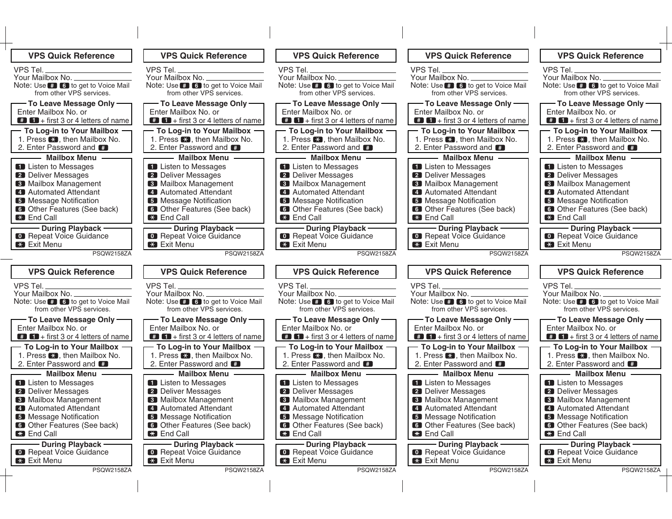| <b>VPS Quick Reference</b>                                                                               | <b>VPS Quick Reference</b>                                                                         | <b>VPS Quick Reference</b>                                                                                  | <b>VPS Quick Reference</b>                                                                              | <b>VPS Quick Reference</b>                                                                                        |
|----------------------------------------------------------------------------------------------------------|----------------------------------------------------------------------------------------------------|-------------------------------------------------------------------------------------------------------------|---------------------------------------------------------------------------------------------------------|-------------------------------------------------------------------------------------------------------------------|
| VPS Tel.                                                                                                 | VPS Tel.                                                                                           | VPS Tel.                                                                                                    | <b>VPS Tel.</b>                                                                                         | VPS Tel.                                                                                                          |
| Your Mailbox No.<br>Note: Use <b>B</b> to get to Voice Mail<br>from other VPS services.                  | Your Mailbox No. _________<br>Note: Use # 6 to get to Voice Mail<br>from other VPS services.       | Your Mailbox No.<br>Note: Use # 6 to get to Voice Mail<br>from other VPS services.                          | Your Mailbox No.<br>Note: Use # 6 to get to Voice Mail<br>from other VPS services.                      | Your Mailbox No. _<br>Note: Use # 6 to get to Voice Mail<br>from other VPS services.                              |
| - To Leave Message Only-<br>Enter Mailbox No. or<br>$\bullet$ $\bullet$ + first 3 or 4 letters of name   | - To Leave Message Only -<br>Enter Mailbox No. or<br>$\blacksquare$ + first 3 or 4 letters of name | - To Leave Message Only<br>Enter Mailbox No. or<br>$\blacksquare$ + first 3 or 4 letters of name            | - To Leave Message Only -<br>Enter Mailbox No. or<br>$\bullet$ $\bullet$ + first 3 or 4 letters of name | - To Leave Message Only -<br>Enter Mailbox No. or<br>$\blacksquare$ $\blacksquare$ + first 3 or 4 letters of name |
| - To Log-in to Your Mailbox -<br>1. Press <b>Ed</b> , then Mailbox No.<br>2. Enter Password and <b>#</b> | - To Log-in to Your Mailbox -<br>1. Press <b>Ed</b> , then Mailbox No.<br>2. Enter Password and #  | - To Log-in to Your Mailbox -<br>1. Press $\mathbb{R}$ , then Mailbox No.<br>2. Enter Password and <b>#</b> | - To Log-in to Your Mailbox –<br>1. Press <b>X</b> , then Mailbox No.<br>2. Enter Password and          | - To Log-in to Your Mailbox -<br>1. Press <b>EX</b> , then Mailbox No.<br>2. Enter Password and <b>#</b>          |
| — Mailbox Menu –                                                                                         | - Mailbox Menu -                                                                                   | - Mailbox Menu -                                                                                            | - Mailbox Menu -                                                                                        | - Mailbox Menu -                                                                                                  |
| <b>ED</b> Listen to Messages<br><b>2</b> Deliver Messages                                                | <b>Example 1</b> Listen to Messages<br><b>2</b> Deliver Messages                                   | <b>ED</b> Listen to Messages<br>2 Deliver Messages                                                          | <b>ED</b> Listen to Messages<br>2 Deliver Messages                                                      | <b>ED</b> Listen to Messages<br>2 Deliver Messages                                                                |
| <b>8</b> Mailbox Management<br>4 Automated Attendant                                                     | <b>8</b> Mailbox Management<br>4 Automated Attendant                                               | <b>8</b> Mailbox Management<br>4 Automated Attendant                                                        | <b>8</b> Mailbox Management<br>4 Automated Attendant                                                    | <b>8</b> Mailbox Management<br>4 Automated Attendant                                                              |
| <b>B</b> Message Notification                                                                            | <b>5</b> Message Notification                                                                      | <b>B</b> Message Notification                                                                               | <b>5</b> Message Notification                                                                           | <b>5</b> Message Notification                                                                                     |
| <b>6</b> Other Features (See back)<br><b>Ex</b> End Call                                                 | <b>6</b> Other Features (See back)<br><b>ED</b> End Call                                           | <b>6</b> Other Features (See back)<br><b>Ex</b> End Call                                                    | <b>6</b> Other Features (See back)<br><b>Ex</b> End Call                                                | <b>6</b> Other Features (See back)<br><b>End Call</b>                                                             |
| <b>During Playback -</b><br><b>C</b> Repeat Voice Guidance                                               | <b>During Playback -</b><br><b>O</b> Repeat Voice Guidance                                         | - During Playback -                                                                                         | During Playback -<br><b>C</b> Repeat Voice Guidance                                                     | During Playback -                                                                                                 |
| Exit Menu                                                                                                | <b>Exit Menu</b>                                                                                   | <b>C</b> Repeat Voice Guidance<br><b>Exit Menu</b>                                                          | <b>Exit Menu</b>                                                                                        | <b>Co.</b> Repeat Voice Guidance<br><b>EXIT Menu</b>                                                              |
| PSQW2158ZA                                                                                               | PSQW2158ZA                                                                                         | PSQW2158ZA                                                                                                  | <b>PSQW2158ZA</b>                                                                                       | PSQW2158ZA                                                                                                        |
| <b>VPS Quick Reference</b>                                                                               | <b>VPS Quick Reference</b>                                                                         | <b>VPS Quick Reference</b>                                                                                  | <b>VPS Quick Reference</b>                                                                              | <b>VPS Quick Reference</b>                                                                                        |
| VPS Tel.<br>Your Mailbox No. _                                                                           | VPS Tel.<br>Your Mailbox No.                                                                       | VPS Tel.<br>Your Mailbox No.                                                                                | VPS Tel.<br>Your Mailbox No.                                                                            | VPS Tel.<br>Your Mailbox No. _                                                                                    |
| Note: Use # 6 to get to Voice Mail<br>from other VPS services.                                           | Note: Use # 6 to get to Voice Mail<br>from other VPS services.                                     | Note: Use # 6 to get to Voice Mail<br>from other VPS services.                                              | Note: Use # 6 to get to Voice Mail<br>from other VPS services.                                          | Note: Use # 6 to get to Voice Mail<br>from other VPS services.                                                    |
| — To Leave Message Only —                                                                                | — To Leave Message Only —                                                                          | — To Leave Message Only —                                                                                   | — To Leave Message Only —                                                                               | — To Leave Message Only —                                                                                         |
| Enter Mailbox No. or<br>$\bullet$ $\bullet$ + first 3 or 4 letters of name                               | Enter Mailbox No. or<br>$\bullet$ $\bullet$ + first 3 or 4 letters of name                         | Enter Mailbox No. or<br>$\bullet$ $\bullet$ + first 3 or 4 letters of name                                  | Enter Mailbox No. or<br>$\blacksquare$ $\blacksquare$ + first 3 or 4 letters of name                    | Enter Mailbox No. or<br>$\blacksquare$ + first 3 or 4 letters of name                                             |
| - To Log-in to Your Mailbox -                                                                            | - To Log-in to Your Mailbox -                                                                      | - To Log-in to Your Mailbox -                                                                               | To Log-in to Your Mailbox -                                                                             | - To Log-in to Your Mailbox -                                                                                     |
| 1. Press <b>X</b> , then Mailbox No.<br>2. Enter Password and #                                          | 1. Press <b>X</b> , then Mailbox No.<br>2. Enter Password and #                                    | 1. Press $\mathbb{R}$ , then Mailbox No.<br>2. Enter Password and #                                         | 1. Press <b>X</b> , then Mailbox No.<br>2. Enter Password and <b>ED</b>                                 | 1. Press <b>3</b> , then Mailbox No.<br>2. Enter Password and <b>#</b>                                            |
| <b>Mailbox Menu -</b>                                                                                    | <b>Mailbox Menu -</b>                                                                              | <b>Mailbox Menu -</b>                                                                                       | Mailbox Menu -                                                                                          | <b>Mailbox Menu -</b>                                                                                             |
| Listen to Messages                                                                                       | Listen to Messages                                                                                 | <b>ED</b> Listen to Messages                                                                                | <b>ED</b> Listen to Messages                                                                            | <b>ED</b> Listen to Messages                                                                                      |
| 2 Deliver Messages<br><b>8</b> Mailbox Management                                                        | 2 Deliver Messages<br>3 Mailbox Management                                                         | 2 Deliver Messages<br><b>3</b> Mailbox Management                                                           | 2 Deliver Messages<br><b>3</b> Mailbox Management                                                       | 2 Deliver Messages<br><b>3</b> Mailbox Management                                                                 |
| 4 Automated Attendant                                                                                    | 4 Automated Attendant                                                                              | 4 Automated Attendant                                                                                       | 4 Automated Attendant                                                                                   | 4 Automated Attendant                                                                                             |
| 5 Message Notification<br><b>6</b> Other Features (See back)                                             | 5 Message Notification<br><b>6</b> Other Features (See back)                                       | 5 Message Notification<br><b>6</b> Other Features (See back)                                                | <b>5</b> Message Notification<br><b>6</b> Other Features (See back)                                     | <b>5</b> Message Notification<br><b>6</b> Other Features (See back)                                               |
| <b>ED</b> End Call                                                                                       | <b>ED</b> End Call                                                                                 | <b>ED</b> End Call                                                                                          | <b>EX</b> End Call                                                                                      | <b>EX</b> End Call                                                                                                |
| During Playback-<br><b>Co.</b> Repeat Voice Guidance                                                     | <b>During Playback -</b><br><b>O</b> Repeat Voice Guidance                                         | - During Playback -<br><b>Co.</b> Repeat Voice Guidance                                                     | - During Playback -<br><b>Co.</b> Repeat Voice Guidance                                                 | During Playback-<br><b>C</b> Repeat Voice Guidance                                                                |
| <b>EX</b> Exit Menu                                                                                      | <b>EX</b> Exit Menu                                                                                | <b>EX</b> Exit Menu                                                                                         | <b>EX</b> Exit Menu                                                                                     | <b>X</b> Exit Menu                                                                                                |
| PSQW2158ZA                                                                                               | PSQW2158ZA                                                                                         | PSQW2158ZA                                                                                                  | PSQW2158ZA                                                                                              | PSQW2158ZA                                                                                                        |
|                                                                                                          |                                                                                                    |                                                                                                             |                                                                                                         |                                                                                                                   |